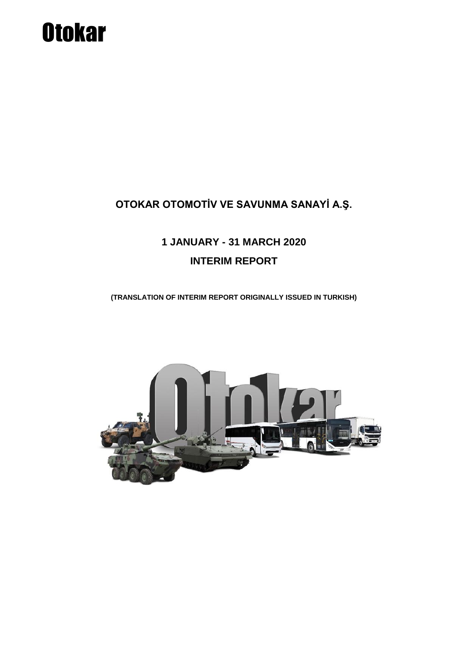# **Otokar**

# **OTOKAR OTOMOTİV VE SAVUNMA SANAYİ A.Ş.**

# **1 JANUARY - 31 MARCH 2020 INTERIM REPORT**

**(TRANSLATION OF INTERIM REPORT ORIGINALLY ISSUED IN TURKISH)**

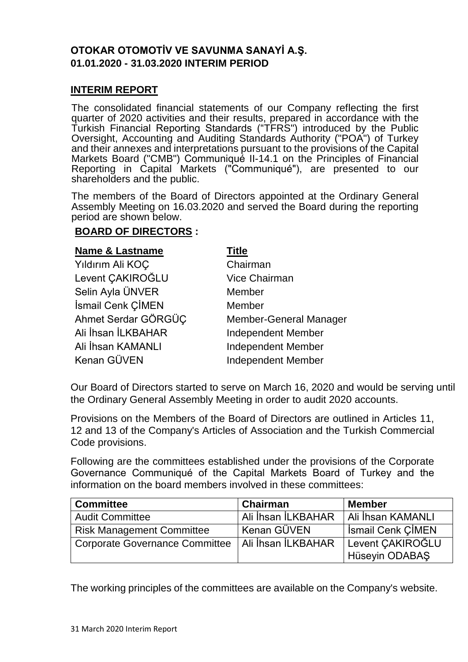# **OTOKAR OTOMOTİV VE SAVUNMA SANAYİ A.Ş. 01.01.2020 - 31.03.2020 INTERIM PERIOD**

#### **INTERIM REPORT**

The consolidated financial statements of our Company reflecting the first quarter of 2020 activities and their results, prepared in accordance with the Turkish Financial Reporting Standards ("TFRS") introduced by the Public Oversight, Accounting and Auditing Standards Authority ("POA") of Turkey and their annexes and interpretations pursuant to the provisions of the Capital Markets Board ("CMB") Communiqué II-14.1 on the Principles of Financial Reporting in Capital Markets ("Communiqué"), are presented to our shareholders and the public.

The members of the Board of Directors appointed at the Ordinary General Assembly Meeting on 16.03.2020 and served the Board during the reporting period are shown below.

#### **BOARD OF DIRECTORS :**

| <b>Name &amp; Lastname</b> | <b>Title</b>                  |
|----------------------------|-------------------------------|
| Yıldırım Ali KOÇ           | Chairman                      |
| Levent CAKIROĞLU           | <b>Vice Chairman</b>          |
| Selin Ayla ÜNVER           | Member                        |
| İsmail Cenk ÇİMEN          | Member                        |
| Ahmet Serdar GÖRGÜÇ        | <b>Member-General Manager</b> |
| Ali İhsan İLKBAHAR         | <b>Independent Member</b>     |
| Ali İhsan KAMANLI          | <b>Independent Member</b>     |
| Kenan GÜVEN                | <b>Independent Member</b>     |

Our Board of Directors started to serve on March 16, 2020 and would be serving until the Ordinary General Assembly Meeting in order to audit 2020 accounts.

Provisions on the Members of the Board of Directors are outlined in Articles 11, 12 and 13 of the Company's Articles of Association and the Turkish Commercial Code provisions.

Following are the committees established under the provisions of the Corporate Governance Communiqué of the Capital Markets Board of Turkey and the information on the board members involved in these committees:

| <b>Committee</b>                                    | <b>Chairman</b>    | <b>Member</b>            |
|-----------------------------------------------------|--------------------|--------------------------|
| <b>Audit Committee</b>                              | Ali İhsan İLKBAHAR | Ali İhsan KAMANLI        |
| <b>Risk Management Committee</b>                    | ' Kenan GÜVEN      | <b>Ismail Cenk CIMEN</b> |
| Corporate Governance Committee   Ali İhsan İLKBAHAR |                    | Levent CAKIROĞLU         |
|                                                     |                    | Hüseyin ODABAŞ           |

The working principles of the committees are available on the Company's website.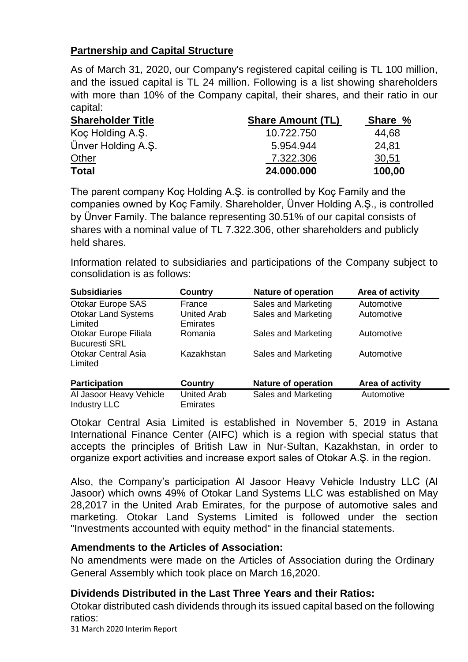# **Partnership and Capital Structure**

As of March 31, 2020, our Company's registered capital ceiling is TL 100 million, and the issued capital is TL 24 million. Following is a list showing shareholders with more than 10% of the Company capital, their shares, and their ratio in our capital:

| <b>Shareholder Title</b> | <b>Share Amount (TL)</b> | Share % |
|--------------------------|--------------------------|---------|
| Koç Holding A.Ş.         | 10.722.750               | 44,68   |
| Ünver Holding A.S.       | 5.954.944                | 24.81   |
| <b>Other</b>             | 7.322.306                | 30,51   |
| <b>Total</b>             | 24.000.000               | 100,00  |

The parent company Koç Holding A.Ş. is controlled by Koç Family and the companies owned by Koç Family. Shareholder, Ünver Holding A.Ş., is controlled by Ünver Family. The balance representing 30.51% of our capital consists of shares with a nominal value of TL 7.322.306, other shareholders and publicly held shares.

Information related to subsidiaries and participations of the Company subject to consolidation is as follows:

| <b>Subsidiaries</b>                            | Country                               | <b>Nature of operation</b> | Area of activity |
|------------------------------------------------|---------------------------------------|----------------------------|------------------|
| Otokar Europe SAS                              | France                                | Sales and Marketing        | Automotive       |
| <b>Otokar Land Systems</b><br>Limited          | <b>United Arab</b><br><b>Emirates</b> | Sales and Marketing        | Automotive       |
| Otokar Europe Filiala<br><b>Bucuresti SRL</b>  | Romania                               | Sales and Marketing        | Automotive       |
| <b>Otokar Central Asia</b><br>Limited          | Kazakhstan                            | Sales and Marketing        | Automotive       |
| <b>Participation</b>                           | <b>Country</b>                        | <b>Nature of operation</b> | Area of activity |
| Al Jasoor Heavy Vehicle<br><b>Industry LLC</b> | <b>United Arab</b><br><b>Emirates</b> | Sales and Marketing        | Automotive       |

Otokar Central Asia Limited is established in November 5, 2019 in Astana International Finance Center (AIFC) which is a region with special status that accepts the principles of British Law in Nur-Sultan, Kazakhstan, in order to organize export activities and increase export sales of Otokar A.Ş. in the region.

Also, the Company's participation Al Jasoor Heavy Vehicle Industry LLC (Al Jasoor) which owns 49% of Otokar Land Systems LLC was established on May 28,2017 in the United Arab Emirates, for the purpose of automotive sales and marketing. Otokar Land Systems Limited is followed under the section "Investments accounted with equity method" in the financial statements.

# **Amendments to the Articles of Association:**

No amendments were made on the Articles of Association during the Ordinary General Assembly which took place on March 16,2020.

# **Dividends Distributed in the Last Three Years and their Ratios:**

Otokar distributed cash dividends through its issued capital based on the following ratios:

31 March 2020 Interim Report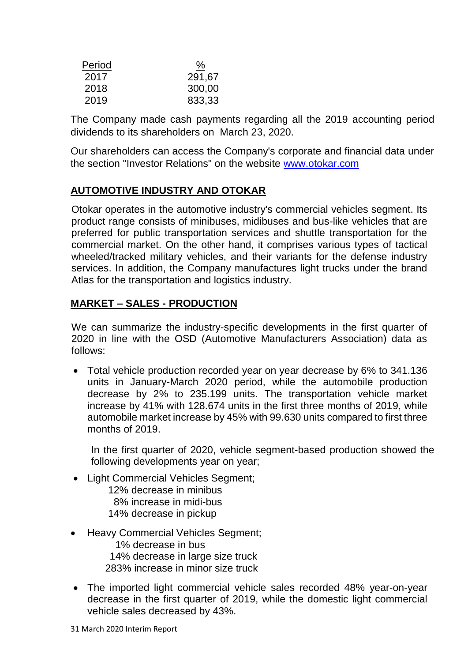| Period | <u>%</u> |
|--------|----------|
| 2017   | 291,67   |
| 2018   | 300,00   |
| 2019   | 833,33   |

The Company made cash payments regarding all the 2019 accounting period dividends to its shareholders on March 23, 2020.

Our shareholders can access the Company's corporate and financial data under the section "Investor Relations" on the website [www.otokar.com](http://www.otokar.com/)

# **AUTOMOTIVE INDUSTRY AND OTOKAR**

Otokar operates in the automotive industry's commercial vehicles segment. Its product range consists of minibuses, midibuses and bus-like vehicles that are preferred for public transportation services and shuttle transportation for the commercial market. On the other hand, it comprises various types of tactical wheeled/tracked military vehicles, and their variants for the defense industry services. In addition, the Company manufactures light trucks under the brand Atlas for the transportation and logistics industry.

# **MARKET – SALES - PRODUCTION**

We can summarize the industry-specific developments in the first quarter of 2020 in line with the OSD (Automotive Manufacturers Association) data as follows:

 Total vehicle production recorded year on year decrease by 6% to 341.136 units in January-March 2020 period, while the automobile production decrease by 2% to 235.199 units. The transportation vehicle market increase by 41% with 128.674 units in the first three months of 2019, while automobile market increase by 45% with 99.630 units compared to first three months of 2019.

In the first quarter of 2020, vehicle segment-based production showed the following developments year on year;

- Light Commercial Vehicles Segment:
	- 12% decrease in minibus 8% increase in midi-bus
	- 14% decrease in pickup
- Heavy Commercial Vehicles Segment;

 1% decrease in bus 14% decrease in large size truck 283% increase in minor size truck

 The imported light commercial vehicle sales recorded 48% year-on-year decrease in the first quarter of 2019, while the domestic light commercial vehicle sales decreased by 43%.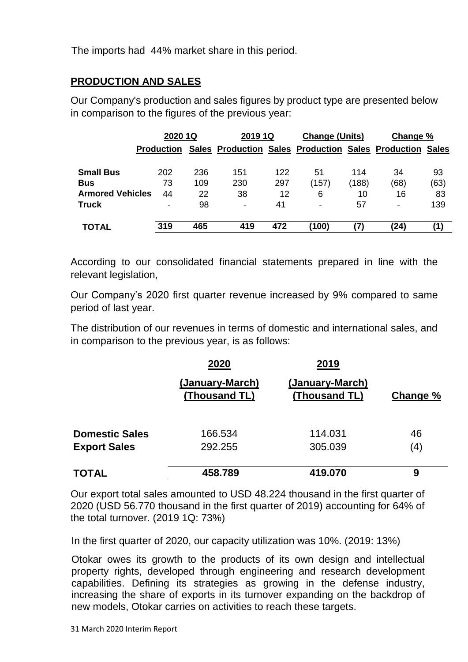The imports had 44% market share in this period.

# **PRODUCTION AND SALES**

Our Company's production and sales figures by product type are presented below in comparison to the figures of the previous year:

|                         | 2020 1Q           |     | 2019 1Q                  |     | <b>Change (Units)</b>                                    |       | Change % |      |
|-------------------------|-------------------|-----|--------------------------|-----|----------------------------------------------------------|-------|----------|------|
|                         | <b>Production</b> |     |                          |     | Sales Production Sales Production Sales Production Sales |       |          |      |
| <b>Small Bus</b>        | 202               | 236 | 151                      | 122 | 51                                                       | 114   | 34       | 93   |
| <b>Bus</b>              | 73                | 109 | 230                      | 297 | (157)                                                    | (188) | (68)     | (63) |
| <b>Armored Vehicles</b> | 44                | 22  | 38                       | 12  | 6                                                        | 10    | 16       | 83   |
| <b>Truck</b>            | -                 | 98  | $\overline{\phantom{0}}$ | 41  | $\,$                                                     | 57    | ۰        | 139  |
|                         |                   |     |                          |     |                                                          |       |          |      |
| <b>TOTAL</b>            | 319               | 465 | 419                      | 472 | (100)                                                    | 7)    | (24)     | '1)  |

According to our consolidated financial statements prepared in line with the relevant legislation,

Our Company's 2020 first quarter revenue increased by 9% compared to same period of last year.

The distribution of our revenues in terms of domestic and international sales, and in comparison to the previous year, is as follows:

|                       | 2020                             | 2019                             |          |
|-----------------------|----------------------------------|----------------------------------|----------|
|                       | (January-March)<br>(Thousand TL) | (January-March)<br>(Thousand TL) | Change % |
| <b>Domestic Sales</b> | 166.534                          | 114.031                          | 46       |
| <b>Export Sales</b>   | 292.255                          | 305.039                          | (4)      |
| <b>TOTAL</b>          | 458.789                          | 419.070                          | 9        |

Our export total sales amounted to USD 48.224 thousand in the first quarter of 2020 (USD 56.770 thousand in the first quarter of 2019) accounting for 64% of the total turnover. (2019 1Q: 73%)

In the first quarter of 2020, our capacity utilization was 10%. (2019: 13%)

Otokar owes its growth to the products of its own design and intellectual property rights, developed through engineering and research development capabilities. Defining its strategies as growing in the defense industry, increasing the share of exports in its turnover expanding on the backdrop of new models, Otokar carries on activities to reach these targets.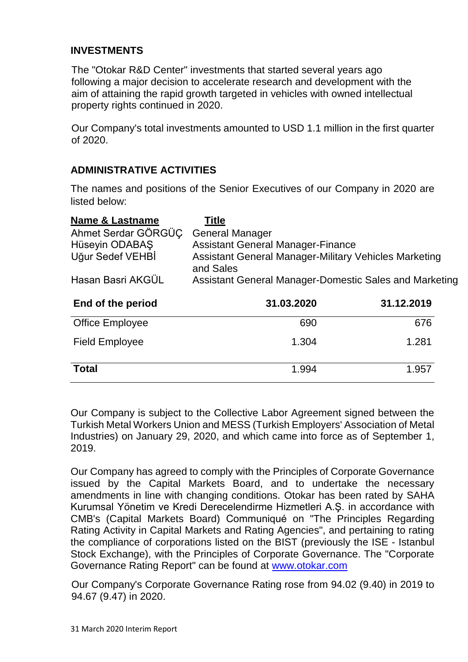# **INVESTMENTS**

The "Otokar R&D Center" investments that started several years ago following a major decision to accelerate research and development with the aim of attaining the rapid growth targeted in vehicles with owned intellectual property rights continued in 2020.

Our Company's total investments amounted to USD 1.1 million in the first quarter of 2020.

# **ADMINISTRATIVE ACTIVITIES**

The names and positions of the Senior Executives of our Company in 2020 are listed below:

| <b>Name &amp; Lastname</b> | <b>Title</b>                                                       |            |  |  |
|----------------------------|--------------------------------------------------------------------|------------|--|--|
| Ahmet Serdar GÖRGÜÇ        | <b>General Manager</b>                                             |            |  |  |
| Hüseyin ODABAŞ             | <b>Assistant General Manager-Finance</b>                           |            |  |  |
| Uğur Sedef VEHBİ           | Assistant General Manager-Military Vehicles Marketing<br>and Sales |            |  |  |
| Hasan Basri AKGÜL          | Assistant General Manager-Domestic Sales and Marketing             |            |  |  |
| End of the period          | 31.03.2020                                                         | 31.12.2019 |  |  |
| <b>Office Employee</b>     | 690                                                                | 676        |  |  |
| <b>Field Employee</b>      | 1.304                                                              | 1.281      |  |  |
| <b>Total</b>               | 1.994                                                              | 1.957      |  |  |

Our Company is subject to the Collective Labor Agreement signed between the Turkish Metal Workers Union and MESS (Turkish Employers' Association of Metal Industries) on January 29, 2020, and which came into force as of September 1, 2019.

Our Company has agreed to comply with the Principles of Corporate Governance issued by the Capital Markets Board, and to undertake the necessary amendments in line with changing conditions. Otokar has been rated by SAHA Kurumsal Yönetim ve Kredi Derecelendirme Hizmetleri A.Ş. in accordance with CMB's (Capital Markets Board) Communiqué on "The Principles Regarding Rating Activity in Capital Markets and Rating Agencies", and pertaining to rating the compliance of corporations listed on the BIST (previously the ISE - Istanbul Stock Exchange), with the Principles of Corporate Governance. The "Corporate Governance Rating Report" can be found at [www.otokar.com](http://www.otokar.com/)

Our Company's Corporate Governance Rating rose from 94.02 (9.40) in 2019 to 94.67 (9.47) in 2020.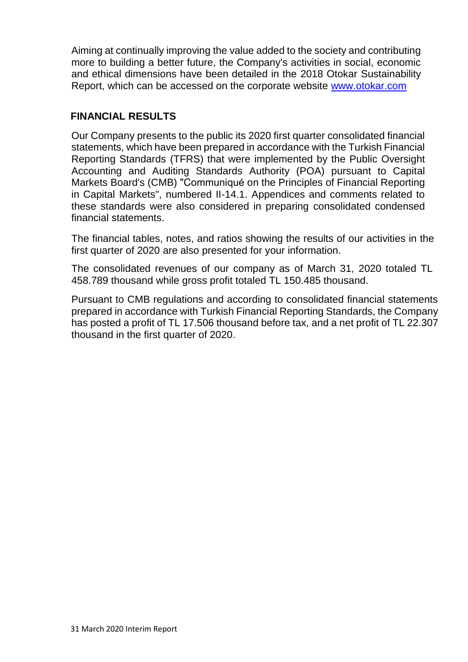Aiming at continually improving the value added to the society and contributing more to building a better future, the Company's activities in social, economic and ethical dimensions have been detailed in the 2018 Otokar Sustainability Report, which can be accessed on the corporate website [www.otokar.com](http://www.otokar.com/)

# **FINANCIAL RESULTS**

Our Company presents to the public its 2020 first quarter consolidated financial statements, which have been prepared in accordance with the Turkish Financial Reporting Standards (TFRS) that were implemented by the Public Oversight Accounting and Auditing Standards Authority (POA) pursuant to Capital Markets Board's (CMB) "Communiqué on the Principles of Financial Reporting in Capital Markets", numbered II-14.1. Appendices and comments related to these standards were also considered in preparing consolidated condensed financial statements.

The financial tables, notes, and ratios showing the results of our activities in the first quarter of 2020 are also presented for your information.

The consolidated revenues of our company as of March 31, 2020 totaled TL 458.789 thousand while gross profit totaled TL 150.485 thousand.

Pursuant to CMB regulations and according to consolidated financial statements prepared in accordance with Turkish Financial Reporting Standards, the Company has posted a profit of TL 17.506 thousand before tax, and a net profit of TL 22.307 thousand in the first quarter of 2020.